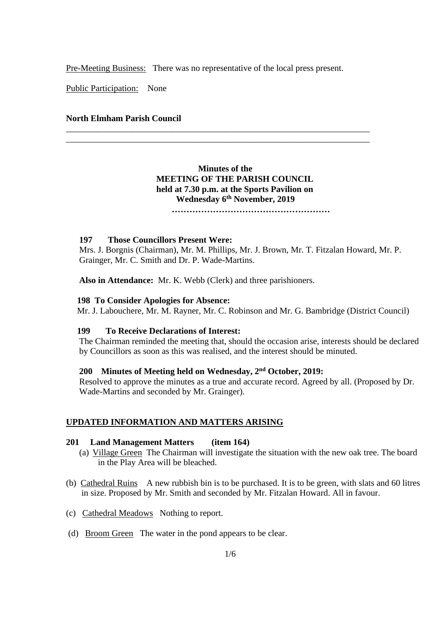Pre-Meeting Business: There was no representative of the local press present.

\_\_\_\_\_\_\_\_\_\_\_\_\_\_\_\_\_\_\_\_\_\_\_\_\_\_\_\_\_\_\_\_\_\_\_\_\_\_\_\_\_\_\_\_\_\_\_\_\_\_\_\_\_\_\_\_\_\_\_\_\_\_\_\_\_\_\_\_\_ \_\_\_\_\_\_\_\_\_\_\_\_\_\_\_\_\_\_\_\_\_\_\_\_\_\_\_\_\_\_\_\_\_\_\_\_\_\_\_\_\_\_\_\_\_\_\_\_\_\_\_\_\_\_\_\_\_\_\_\_\_\_\_\_\_\_\_\_\_

Public Participation: None

## **North Elmham Parish Council**

## **Minutes of the MEETING OF THE PARISH COUNCIL held at 7.30 p.m. at the Sports Pavilion on Wednesday 6 th November, 2019**

 **………………………………………………**

#### **197 Those Councillors Present Were:**

Mrs. J. Borgnis (Chairman), Mr. M. Phillips, Mr. J. Brown, Mr. T. Fitzalan Howard, Mr. P. Grainger, Mr. C. Smith and Dr. P. Wade-Martins.

**Also in Attendance:** Mr. K. Webb (Clerk) and three parishioners.

#### **198 To Consider Apologies for Absence:**

Mr. J. Labouchere, Mr. M. Rayner, Mr. C. Robinson and Mr. G. Bambridge (District Council)

#### **199 To Receive Declarations of Interest:**

The Chairman reminded the meeting that, should the occasion arise, interests should be declared by Councillors as soon as this was realised, and the interest should be minuted.

### **200 Minutes of Meeting held on Wednesday, 2 nd October, 2019:**

Resolved to approve the minutes as a true and accurate record. Agreed by all. (Proposed by Dr. Wade-Martins and seconded by Mr. Grainger).

### **UPDATED INFORMATION AND MATTERS ARISING**

#### **201 Land Management Matters (item 164)**

- (a) Village Green The Chairman will investigate the situation with the new oak tree. The board in the Play Area will be bleached.
- (b) Cathedral Ruins A new rubbish bin is to be purchased. It is to be green, with slats and 60 litres in size. Proposed by Mr. Smith and seconded by Mr. Fitzalan Howard. All in favour.
- (c) Cathedral Meadows Nothing to report.
- (d) Broom Green The water in the pond appears to be clear.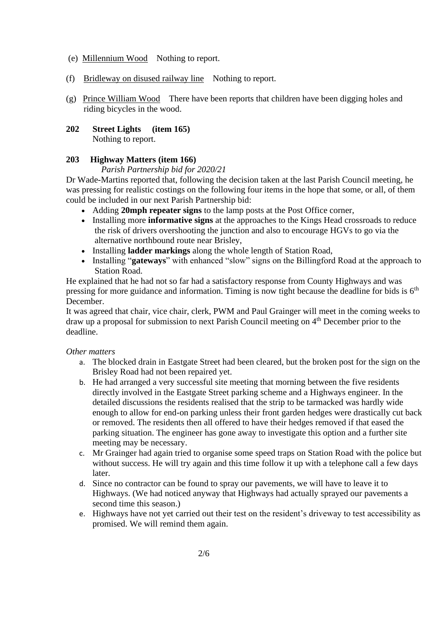- (e) Millennium Wood Nothing to report.
- (f) Bridleway on disused railway line Nothing to report.
- (g) Prince William Wood There have been reports that children have been digging holes and riding bicycles in the wood.
- **202 Street Lights (item 165)** Nothing to report.

## **203 Highway Matters (item 166)**

## *Parish Partnership bid for 2020/21*

Dr Wade-Martins reported that, following the decision taken at the last Parish Council meeting, he was pressing for realistic costings on the following four items in the hope that some, or all, of them could be included in our next Parish Partnership bid:

- Adding **20mph repeater signs** to the lamp posts at the Post Office corner,
- Installing more **informative signs** at the approaches to the Kings Head crossroads to reduce the risk of drivers overshooting the junction and also to encourage HGVs to go via the alternative northbound route near Brisley,
- Installing **ladder markings** along the whole length of Station Road,
- Installing "**gateways**" with enhanced "slow" signs on the Billingford Road at the approach to Station Road.

He explained that he had not so far had a satisfactory response from County Highways and was pressing for more guidance and information. Timing is now tight because the deadline for bids is  $6<sup>th</sup>$ December.

It was agreed that chair, vice chair, clerk, PWM and Paul Grainger will meet in the coming weeks to draw up a proposal for submission to next Parish Council meeting on 4<sup>th</sup> December prior to the deadline.

## *Other matters*

- a. The blocked drain in Eastgate Street had been cleared, but the broken post for the sign on the Brisley Road had not been repaired yet.
- b. He had arranged a very successful site meeting that morning between the five residents directly involved in the Eastgate Street parking scheme and a Highways engineer. In the detailed discussions the residents realised that the strip to be tarmacked was hardly wide enough to allow for end-on parking unless their front garden hedges were drastically cut back or removed. The residents then all offered to have their hedges removed if that eased the parking situation. The engineer has gone away to investigate this option and a further site meeting may be necessary.
- c. Mr Grainger had again tried to organise some speed traps on Station Road with the police but without success. He will try again and this time follow it up with a telephone call a few days later.
- d. Since no contractor can be found to spray our pavements, we will have to leave it to Highways. (We had noticed anyway that Highways had actually sprayed our pavements a second time this season.)
- e. Highways have not yet carried out their test on the resident's driveway to test accessibility as promised. We will remind them again.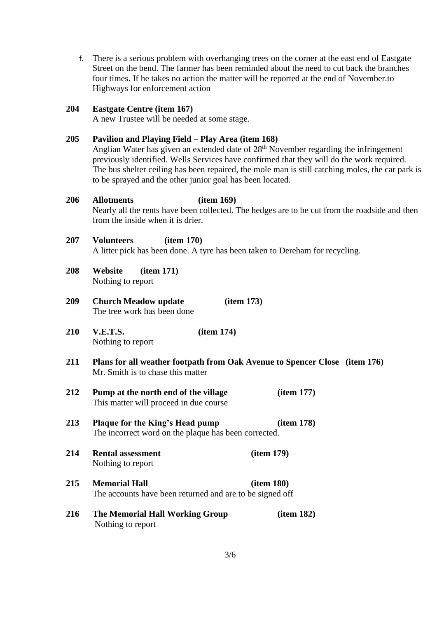f. There is a serious problem with overhanging trees on the corner at the east end of Eastgate Street on the bend. The farmer has been reminded about the need to cut back the branches four times. If he takes no action the matter will be reported at the end of November.to Highways for enforcement action

### **204 Eastgate Centre (item 167)**

A new Trustee will be needed at some stage.

#### **205 Pavilion and Playing Field – Play Area (item 168)**

Anglian Water has given an extended date of 28<sup>th</sup> November regarding the infringement previously identified. Wells Services have confirmed that they will do the work required. The bus shelter ceiling has been repaired, the mole man is still catching moles, the car park is to be sprayed and the other junior goal has been located.

## **206 Allotments (item 169)**

Nearly all the rents have been collected. The hedges are to be cut from the roadside and then from the inside when it is drier.

### **207 Volunteers (item 170)**

A litter pick has been done. A tyre has been taken to Dereham for recycling.

- **208 Website (item 171)** Nothing to report
- **209 Church Meadow update (item 173)** The tree work has been done
- **210 V.E.T.S. (item 174)** Nothing to report
- **211 Plans for all weather footpath from Oak Avenue to Spencer Close (item 176)** Mr. Smith is to chase this matter
- **212 Pump at the north end of the village (item 177)** This matter will proceed in due course
- **213 Plaque for the King's Head pump (item 178)** The incorrect word on the plaque has been corrected.
- **214 Rental assessment (item 179)** Nothing to report

**215 Memorial Hall (item 180)** The accounts have been returned and are to be signed off

**216 The Memorial Hall Working Group (item 182)** Nothing to report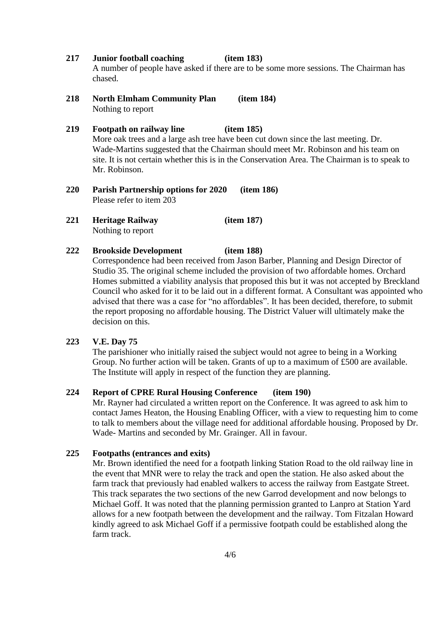**217 Junior football coaching (item 183)**

A number of people have asked if there are to be some more sessions. The Chairman has chased.

- **218 North Elmham Community Plan (item 184)** Nothing to report
- **219 Footpath on railway line (item 185)** More oak trees and a large ash tree have been cut down since the last meeting. Dr. Wade-Martins suggested that the Chairman should meet Mr. Robinson and his team on site. It is not certain whether this is in the Conservation Area. The Chairman is to speak to Mr. Robinson.
- **220 Parish Partnership options for 2020 (item 186)** Please refer to item 203
- **221 Heritage Railway (item 187)** Nothing to report

#### **222 Brookside Development (item 188)**

Correspondence had been received from Jason Barber, Planning and Design Director of Studio 35. The original scheme included the provision of two affordable homes. Orchard Homes submitted a viability analysis that proposed this but it was not accepted by Breckland Council who asked for it to be laid out in a different format. A Consultant was appointed who advised that there was a case for "no affordables". It has been decided, therefore, to submit the report proposing no affordable housing. The District Valuer will ultimately make the decision on this.

### **223 V.E. Day 75**

The parishioner who initially raised the subject would not agree to being in a Working Group. No further action will be taken. Grants of up to a maximum of £500 are available. The Institute will apply in respect of the function they are planning.

## **224 Report of CPRE Rural Housing Conference (item 190)**

Mr. Rayner had circulated a written report on the Conference. It was agreed to ask him to contact James Heaton, the Housing Enabling Officer, with a view to requesting him to come to talk to members about the village need for additional affordable housing. Proposed by Dr. Wade- Martins and seconded by Mr. Grainger. All in favour.

#### **225 Footpaths (entrances and exits)**

Mr. Brown identified the need for a footpath linking Station Road to the old railway line in the event that MNR were to relay the track and open the station. He also asked about the farm track that previously had enabled walkers to access the railway from Eastgate Street. This track separates the two sections of the new Garrod development and now belongs to Michael Goff. It was noted that the planning permission granted to Lanpro at Station Yard allows for a new footpath between the development and the railway. Tom Fitzalan Howard kindly agreed to ask Michael Goff if a permissive footpath could be established along the farm track.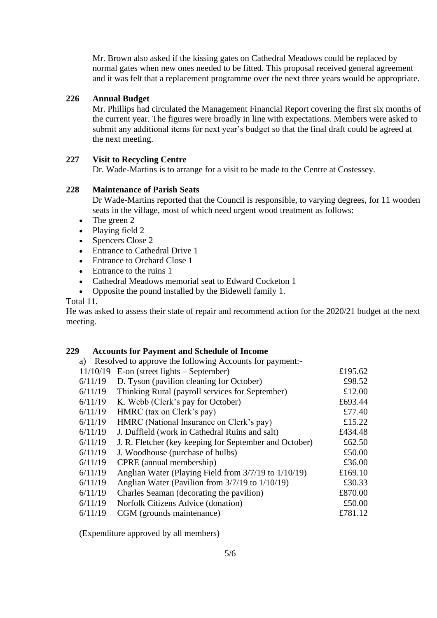Mr. Brown also asked if the kissing gates on Cathedral Meadows could be replaced by normal gates when new ones needed to be fitted. This proposal received general agreement and it was felt that a replacement programme over the next three years would be appropriate.

## **226 Annual Budget**

Mr. Phillips had circulated the Management Financial Report covering the first six months of the current year. The figures were broadly in line with expectations. Members were asked to submit any additional items for next year's budget so that the final draft could be agreed at the next meeting.

### **227 Visit to Recycling Centre**

Dr. Wade-Martins is to arrange for a visit to be made to the Centre at Costessey.

### **228 Maintenance of Parish Seats**

Dr Wade-Martins reported that the Council is responsible, to varying degrees, for 11 wooden seats in the village, most of which need urgent wood treatment as follows:

- The green 2
- Playing field 2
- Spencers Close 2
- **Entrance to Cathedral Drive 1**
- Entrance to Orchard Close 1
- Entrance to the ruins 1
- Cathedral Meadows memorial seat to Edward Cocketon 1
- Opposite the pound installed by the Bidewell family 1.

Total 11.

He was asked to assess their state of repair and recommend action for the 2020/21 budget at the next meeting.

### **229 Accounts for Payment and Schedule of Income**

a) Resolved to approve the following Accounts for payment:-

| 11/10/19 | $E$ -on (street lights – September)                    | £195.62 |
|----------|--------------------------------------------------------|---------|
| 6/11/19  | D. Tyson (pavilion cleaning for October)               | £98.52  |
| 6/11/19  | Thinking Rural (payroll services for September)        | £12.00  |
| 6/11/19  | K. Webb (Clerk's pay for October)                      | £693.44 |
| 6/11/19  | HMRC (tax on Clerk's pay)                              | £77.40  |
| 6/11/19  | HMRC (National Insurance on Clerk's pay)               | £15.22  |
| 6/11/19  | J. Duffield (work in Cathedral Ruins and salt)         | £434.48 |
| 6/11/19  | J. R. Fletcher (key keeping for September and October) | £62.50  |
| 6/11/19  | J. Woodhouse (purchase of bulbs)                       | £50.00  |
| 6/11/19  | CPRE (annual membership)                               | £36.00  |
| 6/11/19  | Anglian Water (Playing Field from 3/7/19 to 1/10/19)   | £169.10 |
| 6/11/19  | Anglian Water (Pavilion from 3/7/19 to 1/10/19)        | £30.33  |
| 6/11/19  | Charles Seaman (decorating the pavilion)               | £870.00 |
| 6/11/19  | Norfolk Citizens Advice (donation)                     | £50.00  |
| 6/11/19  | CGM (grounds maintenance)                              | £781.12 |

(Expenditure approved by all members)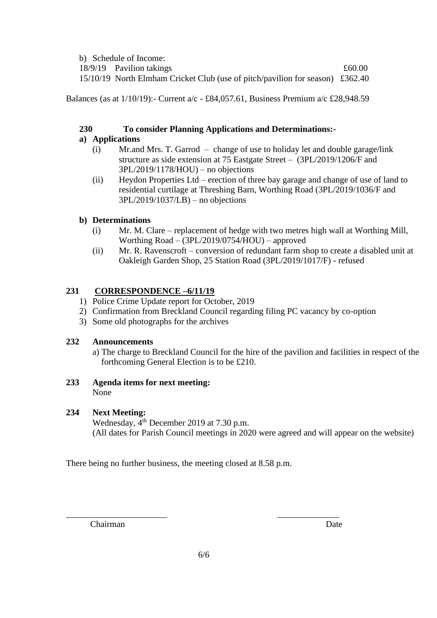| b) Schedule of Income:                                                        |        |
|-------------------------------------------------------------------------------|--------|
| 18/9/19 Pavilion takings                                                      | £60.00 |
| 15/10/19 North Elmham Cricket Club (use of pitch/pavilion for season) £362.40 |        |

Balances (as at 1/10/19):- Current a/c - £84,057.61, Business Premium a/c £28,948.59

# **230 To consider Planning Applications and Determinations:-**

# **a) Applications**

- (i) Mr.and Mrs. T. Garrod change of use to holiday let and double garage/link structure as side extension at 75 Eastgate Street –(3PL/2019/1206/F and 3PL/2019/1178/HOU) – no objections
- (ii) Heydon Properties Ltd erection of three bay garage and change of use of land to residential curtilage at Threshing Barn, Worthing Road (3PL/2019/1036/F and 3PL/2019/1037/LB) – no objections

# **b) Determinations**

- (i) Mr. M. Clare replacement of hedge with two metres high wall at Worthing Mill, Worthing Road – (3PL/2019/0754/HOU) – approved
- (ii) Mr. R. Ravenscroft conversion of redundant farm shop to create a disabled unit at Oakleigh Garden Shop, 25 Station Road (3PL/2019/1017/F) - refused

# **231 CORRESPONDENCE –6/11/19**

- 1) Police Crime Update report for October, 2019
- 2) Confirmation from Breckland Council regarding filing PC vacancy by co-option
- 3) Some old photographs for the archives

# **232 Announcements**

a) The charge to Breckland Council for the hire of the pavilion and facilities in respect of the forthcoming General Election is to be £210.

# **233 Agenda items for next meeting:** None

# **234 Next Meeting:**

Wednesday,  $4<sup>th</sup>$  December 2019 at 7.30 p.m. (All dates for Parish Council meetings in 2020 were agreed and will appear on the website)

There being no further business, the meeting closed at 8.58 p.m.

Chairman Date

\_\_\_\_\_\_\_\_\_\_\_\_\_\_\_\_\_\_\_\_\_\_\_ \_\_\_\_\_\_\_\_\_\_\_\_\_\_